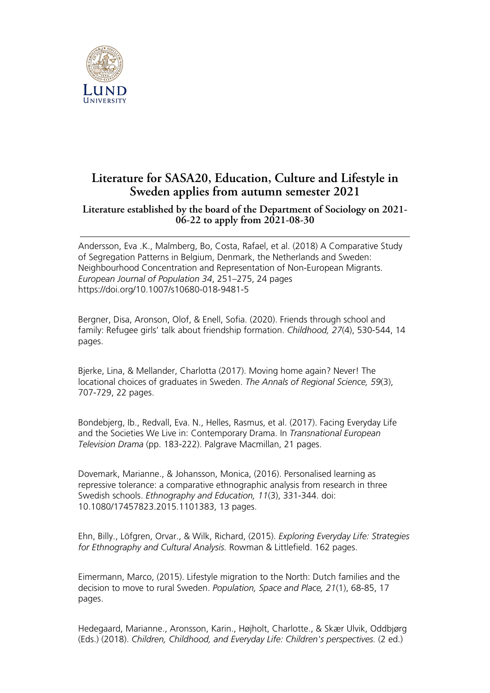

## **Literature for SASA20, Education, Culture and Lifestyle in Sweden applies from autumn semester 2021**

## **Literature established by the board of the Department of Sociology on 2021- 06-22 to apply from 2021-08-30**

Andersson, Eva .K., Malmberg, Bo, Costa, Rafael, et al. (2018) A Comparative Study of Segregation Patterns in Belgium, Denmark, the Netherlands and Sweden: Neighbourhood Concentration and Representation of Non-European Migrants. *European Journal of Population 34*, 251–275, 24 pages https://doi.org/10.1007/s10680-018-9481-5

Bergner, Disa, Aronson, Olof, & Enell, Sofia. (2020). Friends through school and family: Refugee girls' talk about friendship formation. *Childhood, 27*(4), 530-544, 14 pages.

Bjerke, Lina, & Mellander, Charlotta (2017). Moving home again? Never! The locational choices of graduates in Sweden. *The Annals of Regional Science, 59*(3), 707-729, 22 pages.

Bondebjerg, Ib., Redvall, Eva. N., Helles, Rasmus, et al. (2017). Facing Everyday Life and the Societies We Live in: Contemporary Drama. In *Transnational European Television Drama* (pp. 183-222). Palgrave Macmillan, 21 pages.

Dovemark, Marianne., & Johansson, Monica, (2016). Personalised learning as repressive tolerance: a comparative ethnographic analysis from research in three Swedish schools. *Ethnography and Education, 11*(3), 331-344. doi: 10.1080/17457823.2015.1101383, 13 pages.

Ehn, Billy., Löfgren, Orvar., & Wilk, Richard, (2015). *Exploring Everyday Life: Strategies for Ethnography and Cultural Analysis.* Rowman & Littlefield. 162 pages.

Eimermann, Marco, (2015). Lifestyle migration to the North: Dutch families and the decision to move to rural Sweden. *Population, Space and Place, 21*(1), 68-85, 17 pages.

Hedegaard, Marianne., Aronsson, Karin., Højholt, Charlotte., & Skær Ulvik, Oddbjørg (Eds.) (2018). *Children, Childhood, and Everyday Life: Children's perspectives.* (2 ed.)